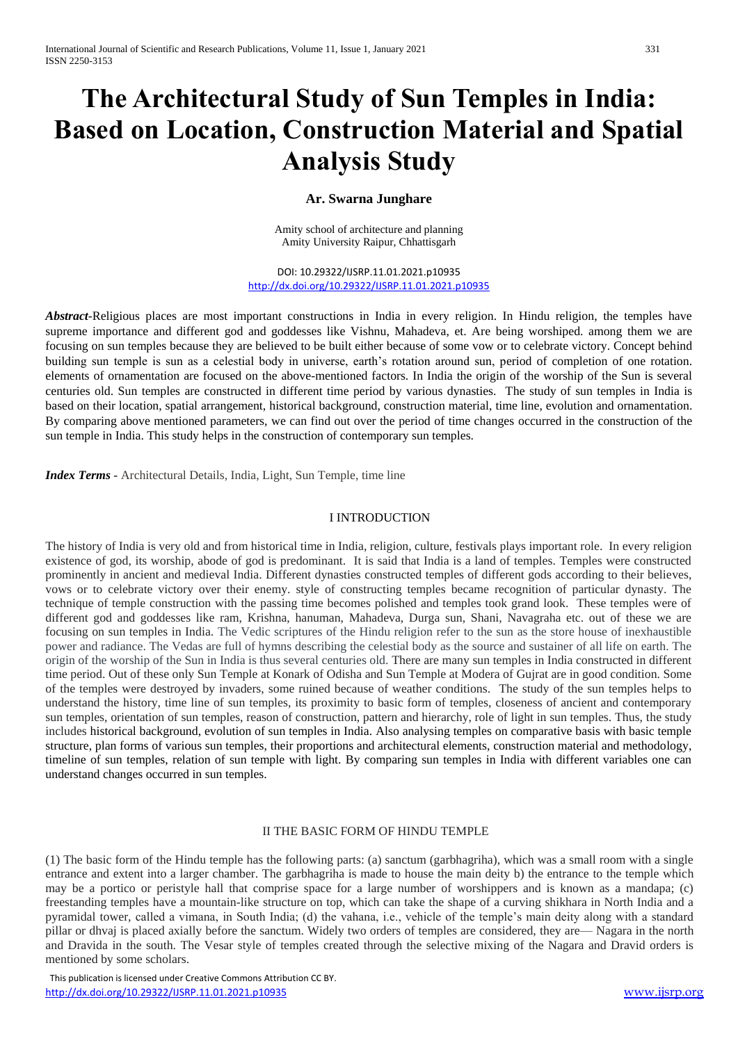# **The Architectural Study of Sun Temples in India: Based on Location, Construction Material and Spatial Analysis Study**

# **Ar. Swarna Junghare**

Amity school of architecture and planning Amity University Raipur, Chhattisgarh

DOI: 10.29322/IJSRP.11.01.2021.p10935 <http://dx.doi.org/10.29322/IJSRP.11.01.2021.p10935>

*Abstract*-Religious places are most important constructions in India in every religion. In Hindu religion, the temples have supreme importance and different god and goddesses like Vishnu, Mahadeva, et. Are being worshiped. among them we are focusing on sun temples because they are believed to be built either because of some vow or to celebrate victory. Concept behind building sun temple is sun as a celestial body in universe, earth's rotation around sun, period of completion of one rotation. elements of ornamentation are focused on the above-mentioned factors. In India the origin of the worship of the Sun is several centuries old. Sun temples are constructed in different time period by various dynasties. The study of sun temples in India is based on their location, spatial arrangement, historical background, construction material, time line, evolution and ornamentation. By comparing above mentioned parameters, we can find out over the period of time changes occurred in the construction of the sun temple in India. This study helps in the construction of contemporary sun temples.

*Index Terms* **-** Architectural Details, India, Light, Sun Temple, time line

#### I INTRODUCTION

The history of India is very old and from historical time in India, religion, culture, festivals plays important role. In every religion existence of god, its worship, abode of god is predominant. It is said that India is a land of temples. Temples were constructed prominently in ancient and medieval India. Different dynasties constructed temples of different gods according to their believes, vows or to celebrate victory over their enemy. style of constructing temples became recognition of particular dynasty. The technique of temple construction with the passing time becomes polished and temples took grand look. These temples were of different god and goddesses like ram, Krishna, hanuman, Mahadeva, Durga sun, Shani, Navagraha etc. out of these we are focusing on sun temples in India. The Vedic scriptures of the Hindu religion refer to the sun as the store house of inexhaustible power and radiance. The Vedas are full of hymns describing the celestial body as the source and sustainer of all life on earth. The origin of the worship of the Sun in India is thus several centuries old. There are many sun temples in India constructed in different time period. Out of these only Sun Temple at Konark of Odisha and Sun Temple at Modera of Gujrat are in good condition. Some of the temples were destroyed by invaders, some ruined because of weather conditions. The study of the sun temples helps to understand the history, time line of sun temples, its proximity to basic form of temples, closeness of ancient and contemporary sun temples, orientation of sun temples, reason of construction, pattern and hierarchy, role of light in sun temples. Thus, the study includes historical background, evolution of sun temples in India. Also analysing temples on comparative basis with basic temple structure, plan forms of various sun temples, their proportions and architectural elements, construction material and methodology, timeline of sun temples, relation of sun temple with light. By comparing sun temples in India with different variables one can understand changes occurred in sun temples.

#### II THE BASIC FORM OF HINDU TEMPLE

(1) The basic form of the Hindu temple has the following parts: (a) sanctum (garbhagriha), which was a small room with a single entrance and extent into a larger chamber. The garbhagriha is made to house the main deity b) the entrance to the temple which may be a portico or peristyle hall that comprise space for a large number of worshippers and is known as a mandapa; (c) freestanding temples have a mountain-like structure on top, which can take the shape of a curving shikhara in North India and a pyramidal tower, called a vimana, in South India; (d) the vahana, i.e., vehicle of the temple's main deity along with a standard pillar or dhvaj is placed axially before the sanctum. Widely two orders of temples are considered, they are— Nagara in the north and Dravida in the south. The Vesar style of temples created through the selective mixing of the Nagara and Dravid orders is mentioned by some scholars.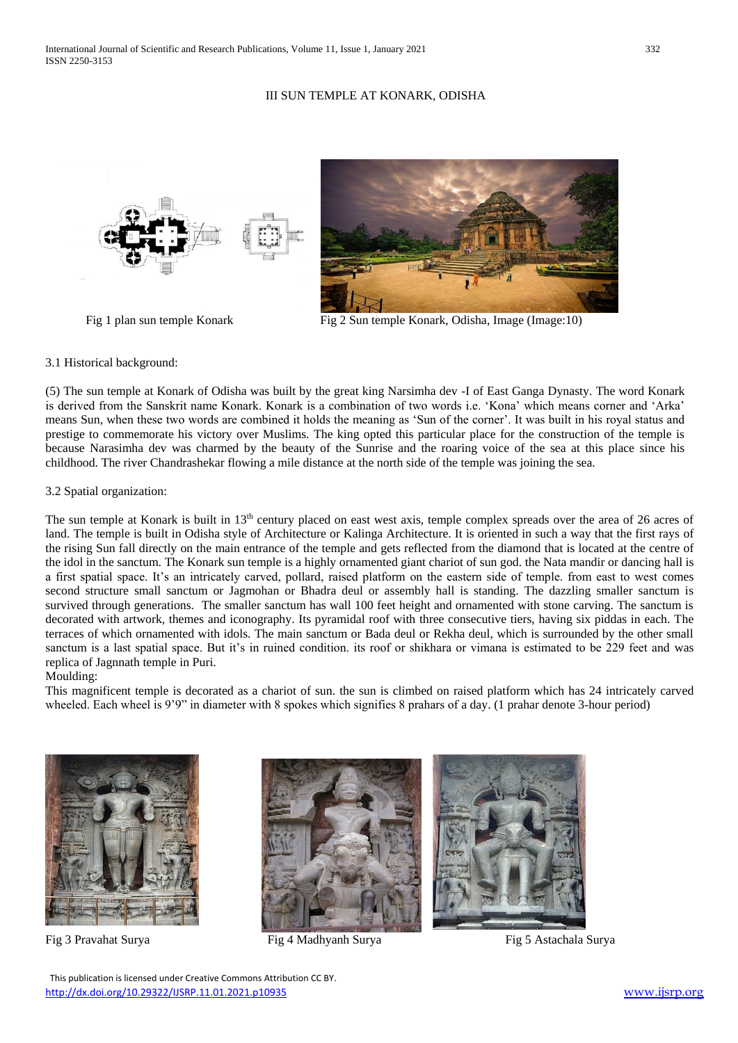# III SUN TEMPLE AT KONARK, ODISHA



Fig 1 plan sun temple Konark Fig 2 Sun temple Konark, Odisha, Image (Image:10)

## 3.1 Historical background:

(5) The sun temple at Konark of Odisha was built by the great king Narsimha dev -I of East Ganga Dynasty. The word Konark is derived from the Sanskrit name Konark. Konark is a combination of two words i.e. 'Kona' which means corner and 'Arka' means Sun, when these two words are combined it holds the meaning as 'Sun of the corner'. It was built in his royal status and prestige to commemorate his victory over Muslims. The king opted this particular place for the construction of the temple is because Narasimha dev was charmed by the beauty of the Sunrise and the roaring voice of the sea at this place since his childhood. The river Chandrashekar flowing a mile distance at the north side of the temple was joining the sea.

## 3.2 Spatial organization:

The sun temple at Konark is built in 13<sup>th</sup> century placed on east west axis, temple complex spreads over the area of 26 acres of land. The temple is built in Odisha style of Architecture or Kalinga Architecture. It is oriented in such a way that the first rays of the rising Sun fall directly on the main entrance of the temple and gets reflected from the diamond that is located at the centre of the idol in the sanctum. The Konark sun temple is a highly ornamented giant chariot of sun god. the Nata mandir or dancing hall is a first spatial space. It's an intricately carved, pollard, raised platform on the eastern side of temple. from east to west comes second structure small sanctum or Jagmohan or Bhadra deul or assembly hall is standing. The dazzling smaller sanctum is survived through generations. The smaller sanctum has wall 100 feet height and ornamented with stone carving. The sanctum is decorated with artwork, themes and iconography. Its pyramidal roof with three consecutive tiers, having six piddas in each. The terraces of which ornamented with idols. The main sanctum or Bada deul or Rekha deul, which is surrounded by the other small sanctum is a last spatial space. But it's in ruined condition. its roof or shikhara or vimana is estimated to be 229 feet and was replica of Jagnnath temple in Puri.

## Moulding:

This magnificent temple is decorated as a chariot of sun. the sun is climbed on raised platform which has 24 intricately carved wheeled. Each wheel is 9'9" in diameter with 8 spokes which signifies 8 prahars of a day. (1 prahar denote 3-hour period)





Fig 3 Pravahat Surya Fig 4 Madhyanh Surya Fig 5 Astachala Surya



 This publication is licensed under Creative Commons Attribution CC BY. <http://dx.doi.org/10.29322/IJSRP.11.01.2021.p10935> [www.ijsrp.org](http://ijsrp.org/)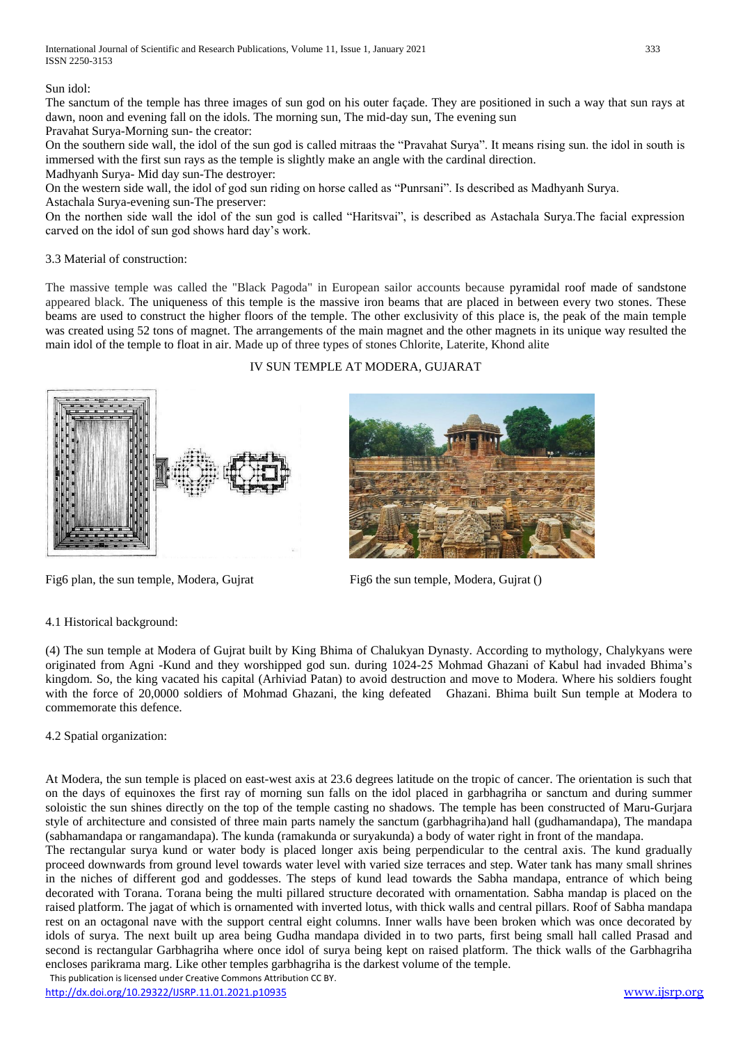# Sun idol:

The sanctum of the temple has three images of sun god on his outer façade. They are positioned in such a way that sun rays at dawn, noon and evening fall on the idols. The morning sun, The mid-day sun, The evening sun Pravahat Surya-Morning sun- the creator:

On the southern side wall, the idol of the sun god is called mitraas the "Pravahat Surya". It means rising sun. the idol in south is immersed with the first sun rays as the temple is slightly make an angle with the cardinal direction.

Madhyanh Surya- Mid day sun-The destroyer:

On the western side wall, the idol of god sun riding on horse called as "Punrsani". Is described as Madhyanh Surya. Astachala Surya-evening sun-The preserver:

On the northen side wall the idol of the sun god is called "Haritsvai", is described as Astachala Surya.The facial expression carved on the idol of sun god shows hard day's work.

# 3.3 Material of construction:

The massive temple was called the "Black Pagoda" in European sailor accounts because pyramidal roof made of sandstone appeared black. The uniqueness of this temple is the massive iron beams that are placed in between every two stones. These beams are used to construct the higher floors of the temple. The other exclusivity of this place is, the peak of the main temple was created using 52 tons of magnet. The arrangements of the main magnet and the other magnets in its unique way resulted the main idol of the temple to float in air. Made up of three types of stones Chlorite, Laterite, Khond alite

# IV SUN TEMPLE AT MODERA, GUJARAT





Fig6 plan, the sun temple, Modera, Gujrat Fig6 the sun temple, Modera, Gujrat ()

## 4.1 Historical background:

(4) The sun temple at Modera of Gujrat built by King Bhima of Chalukyan Dynasty. According to mythology, Chalykyans were originated from Agni -Kund and they worshipped god sun. during 1024-25 Mohmad Ghazani of Kabul had invaded Bhima's kingdom. So, the king vacated his capital (Arhiviad Patan) to avoid destruction and move to Modera. Where his soldiers fought with the force of 20,0000 soldiers of Mohmad Ghazani, the king defeated Ghazani. Bhima built Sun temple at Modera to commemorate this defence.

# 4.2 Spatial organization:

At Modera, the sun temple is placed on east-west axis at 23.6 degrees latitude on the tropic of cancer. The orientation is such that on the days of equinoxes the first ray of morning sun falls on the idol placed in garbhagriha or sanctum and during summer soloistic the sun shines directly on the top of the temple casting no shadows. The temple has been constructed of Maru-Gurjara style of architecture and consisted of three main parts namely the sanctum (garbhagriha)and hall (gudhamandapa), The mandapa (sabhamandapa or rangamandapa). The kunda (ramakunda or suryakunda) a body of water right in front of the mandapa.

 This publication is licensed under Creative Commons Attribution CC BY. The rectangular surya kund or water body is placed longer axis being perpendicular to the central axis. The kund gradually proceed downwards from ground level towards water level with varied size terraces and step. Water tank has many small shrines in the niches of different god and goddesses. The steps of kund lead towards the Sabha mandapa, entrance of which being decorated with Torana. Torana being the multi pillared structure decorated with ornamentation. Sabha mandap is placed on the raised platform. The jagat of which is ornamented with inverted lotus, with thick walls and central pillars. Roof of Sabha mandapa rest on an octagonal nave with the support central eight columns. Inner walls have been broken which was once decorated by idols of surya. The next built up area being Gudha mandapa divided in to two parts, first being small hall called Prasad and second is rectangular Garbhagriha where once idol of surya being kept on raised platform. The thick walls of the Garbhagriha encloses parikrama marg. Like other temples garbhagriha is the darkest volume of the temple.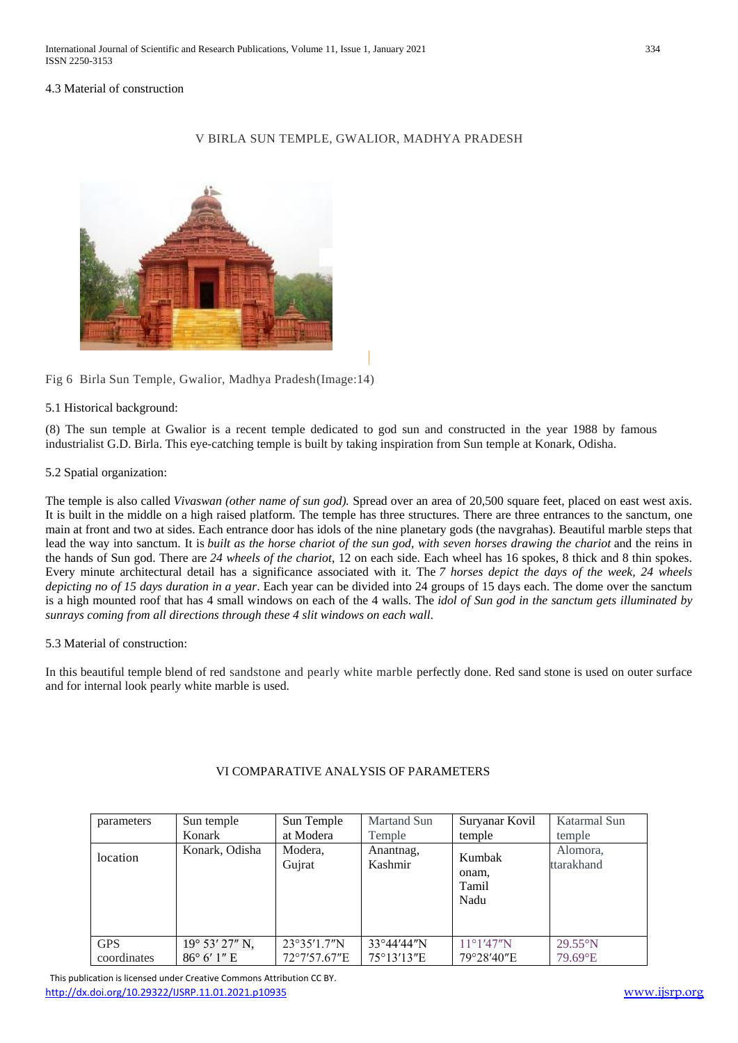# 4.3 Material of construction

## V BIRLA SUN TEMPLE, GWALIOR, MADHYA PRADESH



Fig 6 Birla Sun Temple, Gwalior, Madhya Pradesh(Image:14)

## 5.1 Historical background:

(8) The sun temple at Gwalior is a recent temple dedicated to god sun and constructed in the year 1988 by famous industrialist G.D. Birla. This eye-catching temple is built by taking inspiration from Sun temple at Konark, Odisha.

## 5.2 Spatial organization:

The temple is also called *Vivaswan (other name of sun god).* Spread over an area of 20,500 square feet, placed on east west axis. It is built in the middle on a high raised platform. The temple has three structures. There are three entrances to the sanctum, one main at front and two at sides. Each entrance door has idols of the nine planetary gods (the navgrahas). Beautiful marble steps that lead the way into sanctum. It is built as the horse chariot of the sun god, with seven horses drawing the chariot and the reins in the hands of Sun god. There are *24 wheels of the chariot*, 12 on each side. Each wheel has 16 spokes, 8 thick and 8 thin spokes. Every minute architectural detail has a significance associated with it. The *7 horses depict the days of the week, 24 wheels depicting no of 15 days duration in a year*. Each year can be divided into 24 groups of 15 days each. The dome over the sanctum is a high mounted roof that has 4 small windows on each of the 4 walls. The *idol of Sun god in the sanctum gets illuminated by sunrays coming from all directions through these 4 slit windows on each wall*.

# 5.3 Material of construction:

In this beautiful temple blend of red sandstone and pearly white marble perfectly done. Red sand stone is used on outer surface and for internal look pearly white marble is used.

| parameters                | Sun temple                             | Sun Temple                  | <b>Martand Sun</b>       | Suryanar Kovil                    | Katarmal Sun                 |
|---------------------------|----------------------------------------|-----------------------------|--------------------------|-----------------------------------|------------------------------|
|                           | Konark                                 | at Modera                   | Temple                   | temple                            | temple                       |
| location                  | Konark, Odisha                         | Modera,<br>Gujrat           | Anantnag,<br>Kashmir     | Kumbak<br>onam.<br>Tamil<br>Nadu  | Alomora,<br>ttarakhand       |
| <b>GPS</b><br>coordinates | 19° 53' 27" N,<br>$86^{\circ}$ 6' 1" E | 23°35'1.7"N<br>72°7'57.67"E | 33°44'44″N<br>75°13'13"E | $11^{\circ}1'47''N$<br>79°28'40"E | $29.55^{\circ}$ N<br>79.69°E |

## VI COMPARATIVE ANALYSIS OF PARAMETERS

 This publication is licensed under Creative Commons Attribution CC BY. <http://dx.doi.org/10.29322/IJSRP.11.01.2021.p10935> [www.ijsrp.org](http://ijsrp.org/)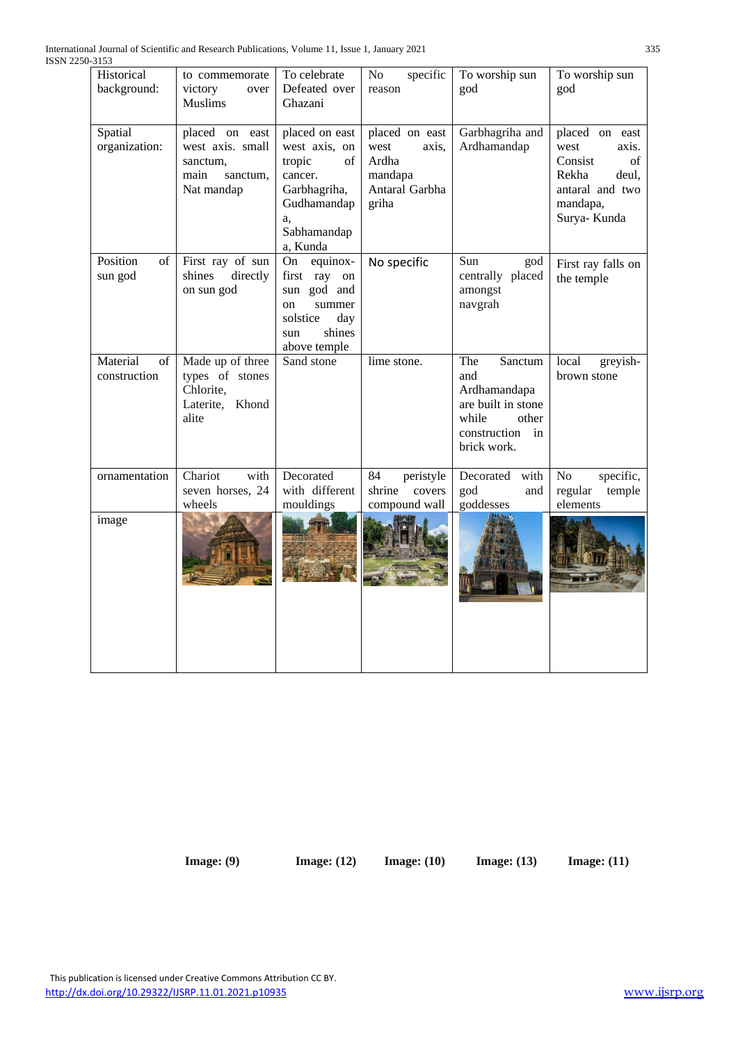| Historical<br>background:      | to commemorate<br>victory<br>over<br><b>Muslims</b>                              | To celebrate<br>Defeated over<br>Ghazani                                                                                           | specific<br>No<br>reason                                                       | To worship sun<br>god                                                                                              | To worship sun<br>god                                                                                            |
|--------------------------------|----------------------------------------------------------------------------------|------------------------------------------------------------------------------------------------------------------------------------|--------------------------------------------------------------------------------|--------------------------------------------------------------------------------------------------------------------|------------------------------------------------------------------------------------------------------------------|
| Spatial<br>organization:       | placed on east<br>west axis. small<br>sanctum.<br>main<br>sanctum,<br>Nat mandap | placed on east<br>west axis, on<br>tropic<br>of<br>cancer.<br>Garbhagriha,<br>Gudhamandap<br>a,<br>Sabhamandap<br>a, Kunda         | placed on east<br>west<br>axis.<br>Ardha<br>mandapa<br>Antaral Garbha<br>griha | Garbhagriha and<br>Ardhamandap                                                                                     | placed on east<br>west<br>axis.<br>Consist<br>of<br>Rekha<br>deul,<br>antaral and two<br>mandapa,<br>Surya-Kunda |
| Position<br>of<br>sun god      | First ray of sun<br>shines<br>directly<br>on sun god                             | equinox-<br>On<br>first<br>ray<br>on<br>sun god and<br>summer<br><sub>on</sub><br>solstice<br>day<br>shines<br>sun<br>above temple | No specific                                                                    | Sun<br>god<br>centrally placed<br>amongst<br>navgrah                                                               | First ray falls on<br>the temple                                                                                 |
| Material<br>of<br>construction | Made up of three<br>types of stones<br>Chlorite,<br>Laterite, Khond<br>alite     | Sand stone                                                                                                                         | lime stone.                                                                    | The<br>Sanctum<br>and<br>Ardhamandapa<br>are built in stone<br>while<br>other<br>construction<br>in<br>brick work. | local<br>greyish-<br>brown stone                                                                                 |
| ornamentation                  | Chariot<br>with<br>seven horses, 24<br>wheels                                    | Decorated<br>with different<br>mouldings                                                                                           | 84<br>peristyle<br>shrine<br>covers<br>compound wall                           | Decorated<br>with<br>god<br>and<br>goddesses                                                                       | No<br>specific,<br>regular<br>temple<br>elements                                                                 |
| image                          |                                                                                  |                                                                                                                                    |                                                                                |                                                                                                                    |                                                                                                                  |

 **Image: (9) Image: (12) Image: (10) Image: (13) Image: (11)**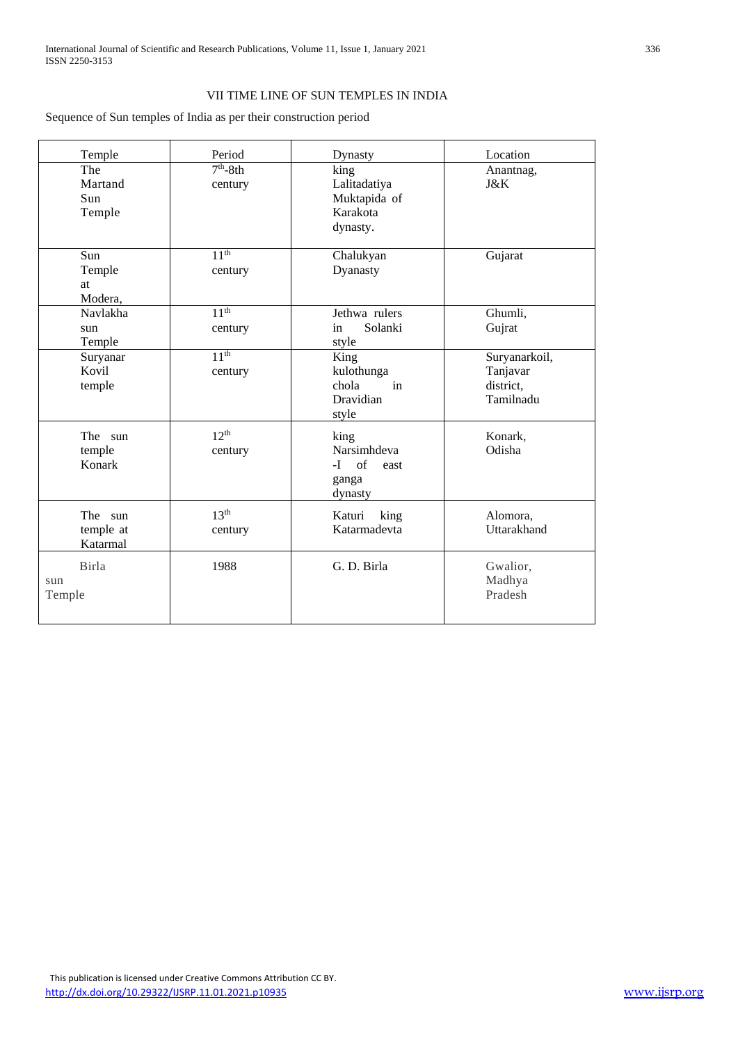# VII TIME LINE OF SUN TEMPLES IN INDIA

Sequence of Sun temples of India as per their construction period

| Temple                           | Period                      | Dynasty                                                       | Location                                            |
|----------------------------------|-----------------------------|---------------------------------------------------------------|-----------------------------------------------------|
| The<br>Martand<br>Sun<br>Temple  | $7th - 8th$<br>century      | king<br>Lalitadatiya<br>Muktapida of<br>Karakota<br>dynasty.  | Anantnag,<br>J&K                                    |
| Sun<br>Temple<br>at<br>Modera,   | 11 <sup>th</sup><br>century | Chalukyan<br>Dyanasty                                         | Gujarat                                             |
| Navlakha<br>sun<br>Temple        | 11 <sup>th</sup><br>century | Jethwa rulers<br>Solanki<br>in<br>style                       | Ghumli,<br>Gujrat                                   |
| Suryanar<br>Kovil<br>temple      | 11 <sup>th</sup><br>century | King<br>kulothunga<br>chola<br>in<br>Dravidian<br>style       | Suryanarkoil,<br>Tanjavar<br>district,<br>Tamilnadu |
| The sun<br>temple<br>Konark      | 12 <sup>th</sup><br>century | king<br>Narsimhdeva<br>of<br>$-I$<br>east<br>ganga<br>dynasty | Konark,<br>Odisha                                   |
| The sun<br>temple at<br>Katarmal | 13 <sup>th</sup><br>century | Katuri<br>king<br>Katarmadevta                                | Alomora,<br>Uttarakhand                             |
| Birla<br>sun<br>Temple           | 1988                        | G. D. Birla                                                   | Gwalior,<br>Madhya<br>Pradesh                       |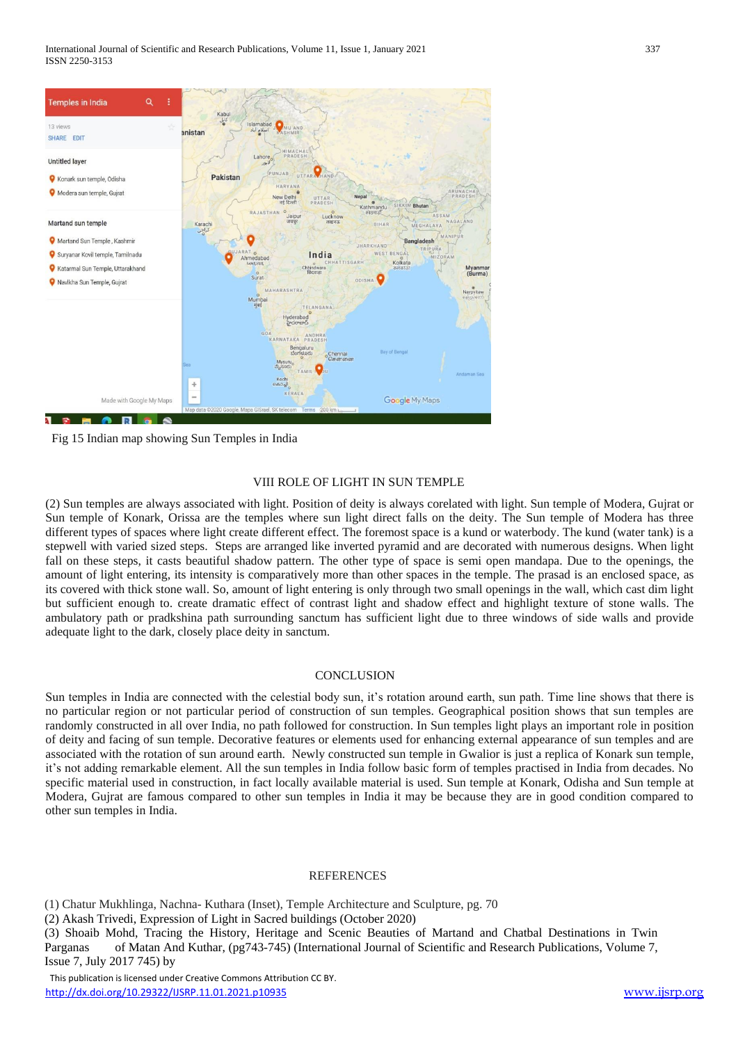

Fig 15 Indian map showing Sun Temples in India

## VIII ROLE OF LIGHT IN SUN TEMPLE

(2) Sun temples are always associated with light. Position of deity is always corelated with light. Sun temple of Modera, Gujrat or Sun temple of Konark, Orissa are the temples where sun light direct falls on the deity. The Sun temple of Modera has three different types of spaces where light create different effect. The foremost space is a kund or waterbody. The kund (water tank) is a stepwell with varied sized steps. Steps are arranged like inverted pyramid and are decorated with numerous designs. When light fall on these steps, it casts beautiful shadow pattern. The other type of space is semi open mandapa. Due to the openings, the amount of light entering, its intensity is comparatively more than other spaces in the temple. The prasad is an enclosed space, as its covered with thick stone wall. So, amount of light entering is only through two small openings in the wall, which cast dim light but sufficient enough to. create dramatic effect of contrast light and shadow effect and highlight texture of stone walls. The ambulatory path or pradkshina path surrounding sanctum has sufficient light due to three windows of side walls and provide adequate light to the dark, closely place deity in sanctum.

## **CONCLUSION**

Sun temples in India are connected with the celestial body sun, it's rotation around earth, sun path. Time line shows that there is no particular region or not particular period of construction of sun temples. Geographical position shows that sun temples are randomly constructed in all over India, no path followed for construction. In Sun temples light plays an important role in position of deity and facing of sun temple. Decorative features or elements used for enhancing external appearance of sun temples and are associated with the rotation of sun around earth. Newly constructed sun temple in Gwalior is just a replica of Konark sun temple, it's not adding remarkable element. All the sun temples in India follow basic form of temples practised in India from decades. No specific material used in construction, in fact locally available material is used. Sun temple at Konark, Odisha and Sun temple at Modera, Gujrat are famous compared to other sun temples in India it may be because they are in good condition compared to other sun temples in India.

## **REFERENCES**

(1) Chatur Mukhlinga, Nachna- Kuthara (Inset), Temple Architecture and Sculpture, pg. 70

(2) Akash Trivedi, Expression of Light in Sacred buildings (October 2020)

(3) Shoaib Mohd, Tracing the History, Heritage and Scenic Beauties of Martand and Chatbal Destinations in Twin Parganas of Matan And Kuthar, (pg743-745) (International Journal of Scientific and Research Publications, Volume 7, Issue 7, July 2017 745) by

 This publication is licensed under Creative Commons Attribution CC BY. <http://dx.doi.org/10.29322/IJSRP.11.01.2021.p10935> [www.ijsrp.org](http://ijsrp.org/)